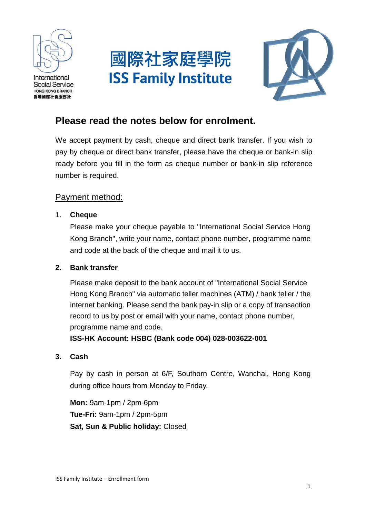

International **Social Service HONG KONG BRANCH** 香港國際社會服務社





# **Please read the notes below for enrolment.**

We accept payment by cash, cheque and direct bank transfer. If you wish to pay by cheque or direct bank transfer, please have the cheque or bank-in slip ready before you fill in the form as cheque number or bank-in slip reference number is required.

## Payment method:

1. **Cheque**

Please make your cheque payable to "International Social Service Hong Kong Branch", write your name, contact phone number, programme name and code at the back of the cheque and mail it to us.

#### **2. Bank transfer**

Please make deposit to the bank account of "International Social Service Hong Kong Branch" via automatic teller machines (ATM) / bank teller / the internet banking. Please send the bank pay-in slip or a copy of transaction record to us by post or email with your name, contact phone number, programme name and code.

**ISS-HK Account: HSBC (Bank code 004) 028-003622-001**

#### **3. Cash**

Pay by cash in person at 6/F, Southorn Centre, Wanchai, Hong Kong during office hours from Monday to Friday.

**Mon:** 9am-1pm / 2pm-6pm **Tue-Fri:** 9am-1pm / 2pm-5pm **Sat, Sun & Public holiday:** Closed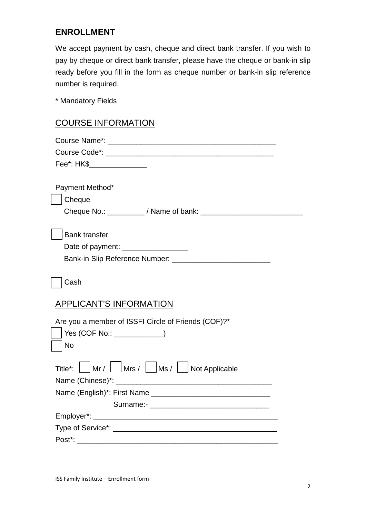# **ENROLLMENT**

We accept payment by cash, cheque and direct bank transfer. If you wish to pay by cheque or direct bank transfer, please have the cheque or bank-in slip ready before you fill in the form as cheque number or bank-in slip reference number is required.

\* Mandatory Fields

### COURSE INFORMATION

| Fee*: HK\$_________________                         |  |
|-----------------------------------------------------|--|
|                                                     |  |
| Payment Method*                                     |  |
| Cheque                                              |  |
|                                                     |  |
|                                                     |  |
| <b>Bank transfer</b>                                |  |
| Date of payment: ___________________                |  |
|                                                     |  |
|                                                     |  |
| Cash                                                |  |
| <b>APPLICANT'S INFORMATION</b>                      |  |
| Are you a member of ISSFI Circle of Friends (COF)?* |  |
| Yes (COF No.: ____________)                         |  |
| <b>No</b>                                           |  |
|                                                     |  |
| Title*: Mr / Mrs / Ms / Ms / Not Applicable         |  |
|                                                     |  |
|                                                     |  |
|                                                     |  |
|                                                     |  |
|                                                     |  |
|                                                     |  |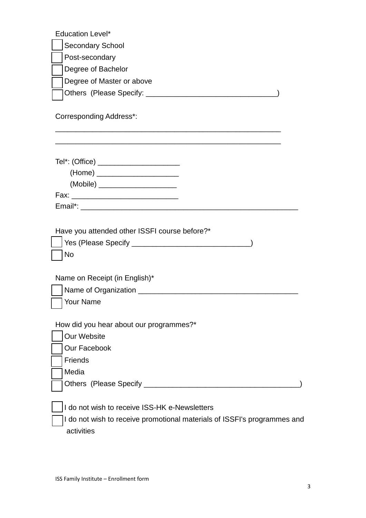| <b>Education Level*</b><br><b>Secondary School</b><br>Post-secondary<br>Degree of Bachelor<br>Degree of Master or above<br><b>Corresponding Address*:</b> |
|-----------------------------------------------------------------------------------------------------------------------------------------------------------|
| Tel*: (Office) ________________________<br>(Home) ______________________<br>(Mobile) _______________________                                              |
| Have you attended other ISSFI course before?*<br>No<br>Name on Receipt (in English)*                                                                      |
| Name of Organization __________<br>  Your Name                                                                                                            |
| How did you hear about our programmes?*<br>Our Website<br>Our Facebook<br><b>Friends</b><br>Media                                                         |
| I do not wish to receive ISS-HK e-Newsletters<br>I do not wish to receive promotional materials of ISSFI's programmes and<br>activities                   |